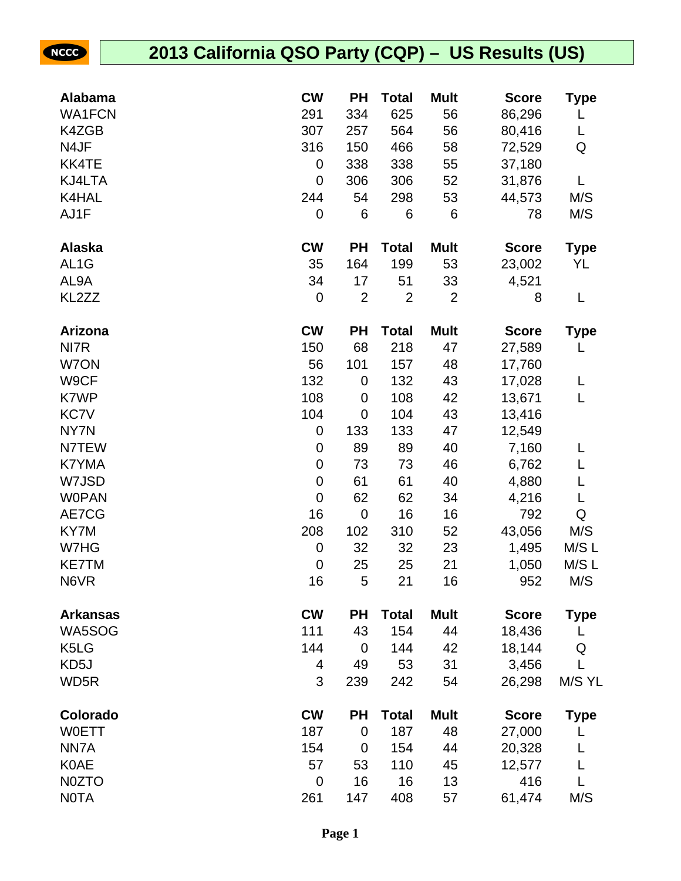| Alabama                       | <b>CW</b>        | <b>PH</b>      | Total          | <b>Mult</b>    | <b>Score</b> | Type        |
|-------------------------------|------------------|----------------|----------------|----------------|--------------|-------------|
| <b>WA1FCN</b>                 | 291              | 334            | 625            | 56             | 86,296       | L           |
| K4ZGB                         | 307              | 257            | 564            | 56             | 80,416       | L           |
| N4JF                          | 316              | 150            | 466            | 58             | 72,529       | Q           |
| KK4TE                         | 0                | 338            | 338            | 55             | 37,180       |             |
| KJ4LTA                        | $\boldsymbol{0}$ | 306            | 306            | 52             | 31,876       | Г           |
| K4HAL                         | 244              | 54             | 298            | 53             | 44,573       | M/S         |
| AJ1F                          | 0                | 6              | 6              | 6              | 78           | M/S         |
| <b>Alaska</b>                 | <b>CW</b>        | <b>PH</b>      | <b>Total</b>   | <b>Mult</b>    | <b>Score</b> | Type        |
| AL <sub>1</sub> G             | 35               | 164            | 199            | 53             | 23,002       | YL          |
| AL9A                          | 34               | 17             | 51             | 33             | 4,521        |             |
| KL2ZZ                         | 0                | $\overline{2}$ | $\overline{2}$ | $\overline{2}$ | 8            | L           |
| Arizona                       | <b>CW</b>        | <b>PH</b>      | <b>Total</b>   | <b>Mult</b>    | <b>Score</b> | <b>Type</b> |
| NI7R                          | 150              | 68             | 218            | 47             | 27,589       |             |
| W7ON                          | 56               | 101            | 157            | 48             | 17,760       |             |
| W9CF                          | 132              | $\mathbf 0$    | 132            | 43             | 17,028       | L           |
| K7WP                          | 108              | $\mathbf 0$    | 108            | 42             | 13,671       | L           |
| <b>KC7V</b>                   | 104              | $\mathbf 0$    | 104            | 43             | 13,416       |             |
| NY7N                          | 0                | 133            | 133            | 47             | 12,549       |             |
| N7TEW                         | $\boldsymbol{0}$ | 89             | 89             | 40             | 7,160        | L           |
| K7YMA                         | $\pmb{0}$        | 73             | 73             | 46             | 6,762        | L           |
| W7JSD                         | $\pmb{0}$        | 61             | 61             | 40             | 4,880        | L           |
| <b>WOPAN</b>                  | $\mathbf 0$      | 62             | 62             | 34             | 4,216        | L           |
| AE7CG                         | 16               | $\mathbf 0$    | 16             | 16             | 792          | ${\sf Q}$   |
| KY7M                          | 208              | 102            | 310            | 52             | 43,056       | M/S         |
| W7HG                          | $\boldsymbol{0}$ | 32             | 32             | 23             | 1,495        | M/S L       |
| <b>KE7TM</b>                  | 0                | 25             | 25             | 21             | 1,050        | M/S L       |
| N6VR                          | 16               | 5              | 21             | 16             | 952          | M/S         |
| <b>Arkansas</b>               | <b>CW</b>        | <b>PH</b>      | <b>Total</b>   | <b>Mult</b>    | <b>Score</b> | Type        |
| WA5SOG                        | 111              | 43             | 154            | 44             | 18,436       | L           |
| K <sub>5</sub> L <sub>G</sub> | 144              | $\mathbf 0$    | 144            | 42             | 18,144       | Q           |
| KD5J                          | 4                | 49             | 53             | 31             | 3,456        | L           |
| WD <sub>5</sub> R             | 3                | 239            | 242            | 54             | 26,298       | M/S YL      |
| Colorado                      | <b>CW</b>        | <b>PH</b>      | <b>Total</b>   | <b>Mult</b>    | <b>Score</b> | <b>Type</b> |
| <b>WOETT</b>                  | 187              | $\mathbf 0$    | 187            | 48             | 27,000       | L           |
| NN7A                          | 154              | $\mathbf 0$    | 154            | 44             | 20,328       | L           |
| <b>K0AE</b>                   | 57               | 53             | 110            | 45             | 12,577       | L           |
| N0ZTO                         | $\mathbf 0$      | 16             | 16             | 13             | 416          | L           |
| <b>NOTA</b>                   | 261              | 147            | 408            | 57             | 61,474       | M/S         |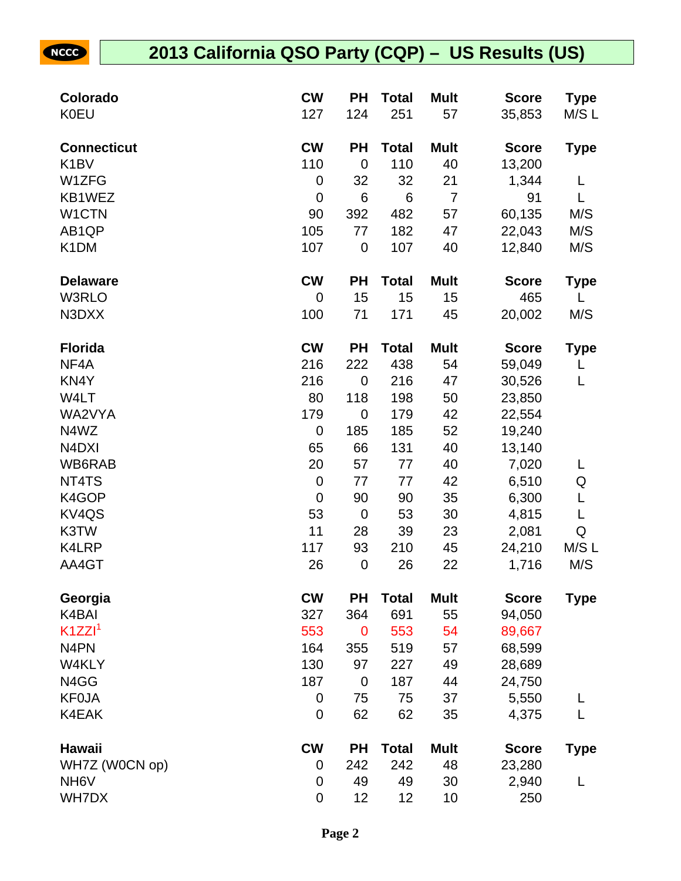| Colorado                       | <b>CW</b>        | <b>PH</b>   | <b>Total</b> | <b>Mult</b>    | <b>Score</b> | <b>Type</b> |
|--------------------------------|------------------|-------------|--------------|----------------|--------------|-------------|
| <b>K0EU</b>                    | 127              | 124         | 251          | 57             | 35,853       | M/SL        |
| <b>Connecticut</b>             | <b>CW</b>        | <b>PH</b>   | <b>Total</b> | <b>Mult</b>    | <b>Score</b> | <b>Type</b> |
| K <sub>1</sub> BV              | 110              | $\mathbf 0$ | 110          | 40             | 13,200       |             |
| W1ZFG                          | $\mathbf 0$      | 32          | 32           | 21             | 1,344        | L           |
| KB1WEZ                         | $\mathbf 0$      | 6           | $\,6$        | $\overline{7}$ | 91           | L           |
| W1CTN                          | 90               | 392         | 482          | 57             | 60,135       | M/S         |
| AB1QP                          | 105              | 77          | 182          | 47             | 22,043       | M/S         |
| K <sub>1</sub> DM              | 107              | $\mathbf 0$ | 107          | 40             | 12,840       | M/S         |
| <b>Delaware</b>                | <b>CW</b>        | <b>PH</b>   | <b>Total</b> | <b>Mult</b>    | <b>Score</b> | <b>Type</b> |
| W3RLO                          | $\mathbf 0$      | 15          | 15           | 15             | 465          | L           |
| N3DXX                          | 100              | 71          | 171          | 45             | 20,002       | M/S         |
| <b>Florida</b>                 | <b>CW</b>        | <b>PH</b>   | <b>Total</b> | <b>Mult</b>    | <b>Score</b> | <b>Type</b> |
| NF4A                           | 216              | 222         | 438          | 54             | 59,049       | L           |
| KN4Y                           | 216              | $\mathbf 0$ | 216          | 47             | 30,526       | L           |
| W4LT                           | 80               | 118         | 198          | 50             | 23,850       |             |
| WA2VYA                         | 179              | $\mathbf 0$ | 179          | 42             | 22,554       |             |
| N4WZ                           | $\mathbf 0$      | 185         | 185          | 52             | 19,240       |             |
| N <sub>4</sub> D <sub>XI</sub> | 65               | 66          | 131          | 40             | 13,140       |             |
| WB6RAB                         | 20               | 57          | 77           | 40             | 7,020        | L           |
| NT4TS                          | $\mathbf 0$      | 77          | 77           | 42             | 6,510        | Q           |
| K4GOP                          | $\mathbf 0$      | 90          | 90           | 35             | 6,300        | L           |
| KV4QS                          | 53               | $\mathbf 0$ | 53           | 30             | 4,815        | L           |
| K3TW                           | 11               | 28          | 39           | 23             | 2,081        | Q           |
| K4LRP                          | 117              | 93          | 210          | 45             | 24,210       | M/S L       |
| AA4GT                          | 26               | $\mathbf 0$ | 26           | 22             | 1,716        | M/S         |
| Georgia                        | <b>CW</b>        | <b>PH</b>   | <b>Total</b> | <b>Mult</b>    | <b>Score</b> | <b>Type</b> |
| K4BAI                          | 327              | 364         | 691          | 55             | 94,050       |             |
| K1ZZI <sup>1</sup>             | 553              | $\mathbf 0$ | 553          | 54             | 89,667       |             |
| N <sub>4</sub> PN              | 164              | 355         | 519          | 57             | 68,599       |             |
| W4KLY                          | 130              | 97          | 227          | 49             | 28,689       |             |
| N4GG                           | 187              | $\mathbf 0$ | 187          | 44             | 24,750       |             |
| <b>KF0JA</b>                   | $\boldsymbol{0}$ | 75          | 75           | 37             | 5,550        | L           |
| K4EAK                          | 0                | 62          | 62           | 35             | 4,375        | L           |
| Hawaii                         | <b>CW</b>        | <b>PH</b>   | <b>Total</b> | <b>Mult</b>    | <b>Score</b> | <b>Type</b> |
| WH7Z (W0CN op)                 | $\boldsymbol{0}$ | 242         | 242          | 48             | 23,280       |             |
| NH <sub>6</sub> V              | $\mathbf 0$      | 49          | 49           | 30             | 2,940        | L           |
| <b>WH7DX</b>                   | $\mathbf 0$      | 12          | 12           | 10             | 250          |             |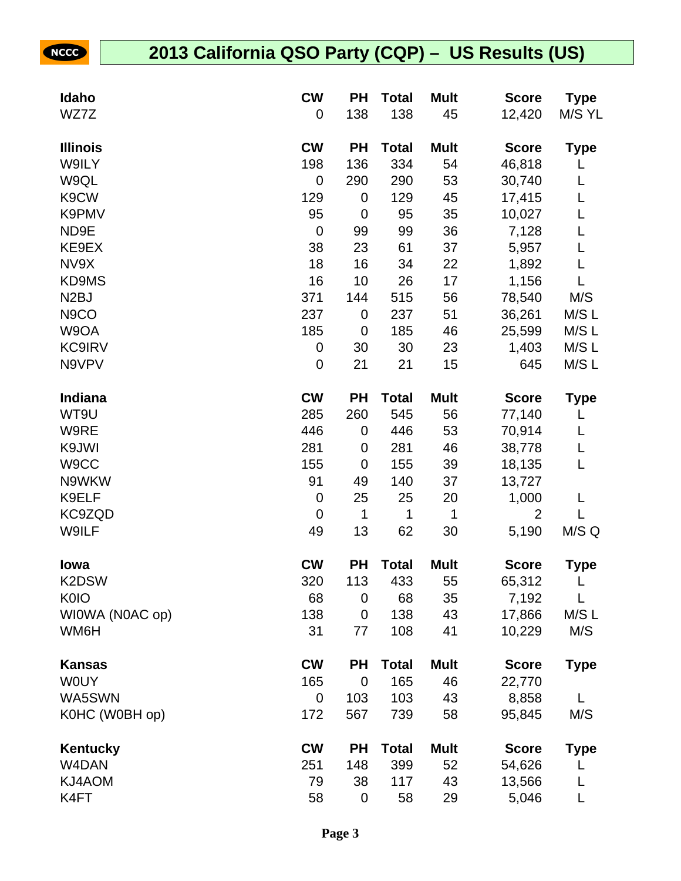| Idaho             | <b>CW</b>   | <b>PH</b>   | <b>Total</b> | <b>Mult</b> | <b>Score</b>   | <b>Type</b> |
|-------------------|-------------|-------------|--------------|-------------|----------------|-------------|
| WZ7Z              | 0           | 138         | 138          | 45          | 12,420         | M/S YL      |
| <b>Illinois</b>   | <b>CW</b>   | <b>PH</b>   | <b>Total</b> | <b>Mult</b> | <b>Score</b>   | <b>Type</b> |
| W9ILY             | 198         | 136         | 334          | 54          | 46,818         |             |
| W9QL              | 0           | 290         | 290          | 53          | 30,740         | L           |
| K9CW              | 129         | 0           | 129          | 45          | 17,415         | L           |
| K9PMV             | 95          | $\mathbf 0$ | 95           | 35          | 10,027         | L           |
| ND9E              | $\mathbf 0$ | 99          | 99           | 36          | 7,128          | L           |
| KE9EX             | 38          | 23          | 61           | 37          | 5,957          | L           |
| NV9X              | 18          | 16          | 34           | 22          | 1,892          | L           |
| KD9MS             | 16          | 10          | 26           | 17          | 1,156          |             |
| N <sub>2</sub> BJ | 371         | 144         | 515          | 56          | 78,540         | M/S         |
| N <sub>9</sub> CO | 237         | 0           | 237          | 51          | 36,261         | M/S L       |
| W9OA              | 185         | $\mathbf 0$ | 185          | 46          | 25,599         | M/S L       |
| <b>KC9IRV</b>     | 0           | 30          | 30           | 23          | 1,403          | M/S L       |
| N9VPV             | $\mathbf 0$ | 21          | 21           | 15          | 645            | M/S L       |
| Indiana           | <b>CW</b>   | <b>PH</b>   | <b>Total</b> | <b>Mult</b> | <b>Score</b>   | <b>Type</b> |
| WT9U              | 285         | 260         | 545          | 56          | 77,140         | L           |
| W9RE              | 446         | 0           | 446          | 53          | 70,914         | L           |
| K9JWI             | 281         | $\mathbf 0$ | 281          | 46          | 38,778         | L           |
| W9CC              | 155         | $\mathbf 0$ | 155          | 39          | 18,135         | L           |
| N9WKW             | 91          | 49          | 140          | 37          | 13,727         |             |
| K9ELF             | $\mathbf 0$ | 25          | 25           | 20          | 1,000          | L           |
| KC9ZQD            | $\mathbf 0$ | $\mathbf 1$ | 1            | 1           | $\overline{2}$ | L           |
| W9ILF             | 49          | 13          | 62           | 30          | 5,190          | M/S Q       |
| lowa              | <b>CW</b>   | <b>PH</b>   | <b>Total</b> | <b>Mult</b> | <b>Score</b>   | <b>Type</b> |
| K2DSW             | 320         | 113         | 433          | 55          | 65,312         |             |
| <b>K0IO</b>       | 68          | 0           | 68           | 35          | 7,192          | L           |
| WIOWA (NOAC op)   | 138         | 0           | 138          | 43          | 17,866         | M/SL        |
| WM6H              | 31          | 77          | 108          | 41          | 10,229         | M/S         |
| Kansas            | <b>CW</b>   | <b>PH</b>   | <b>Total</b> | <b>Mult</b> | <b>Score</b>   | <b>Type</b> |
| <b>WOUY</b>       | 165         | $\mathbf 0$ | 165          | 46          | 22,770         |             |
| WA5SWN            | 0           | 103         | 103          | 43          | 8,858          | L           |
| K0HC (W0BH op)    | 172         | 567         | 739          | 58          | 95,845         | M/S         |
| Kentucky          | <b>CW</b>   | <b>PH</b>   | <b>Total</b> | <b>Mult</b> | <b>Score</b>   | <b>Type</b> |
| W4DAN             | 251         | 148         | 399          | 52          | 54,626         |             |
| KJ4AOM            | 79          | 38          | 117          | 43          | 13,566         |             |
| K4FT              | 58          | $\pmb{0}$   | 58           | 29          | 5,046          | L           |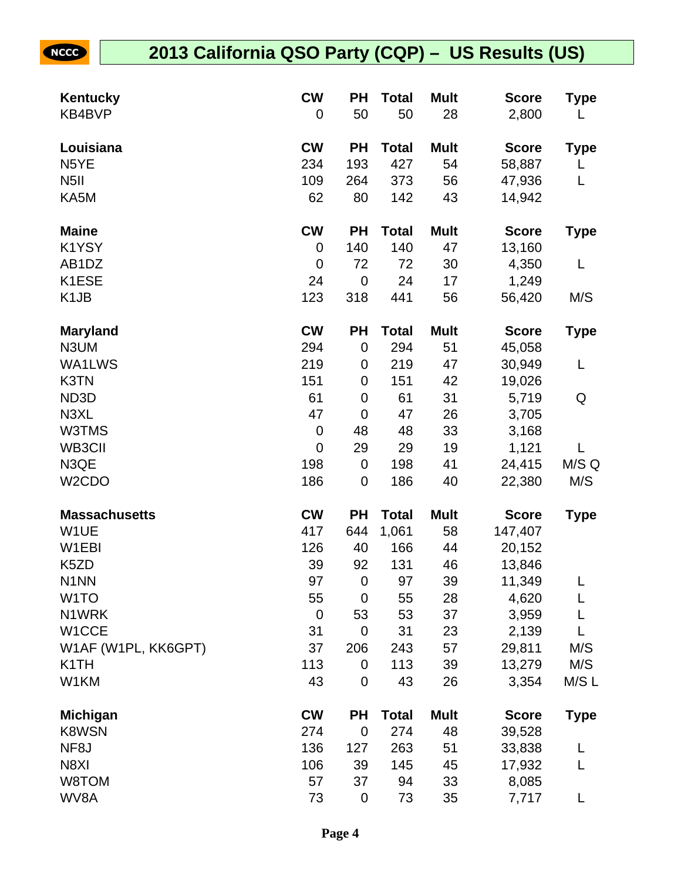| Kentucky             | <b>CW</b>   | <b>PH</b>   | <b>Total</b> | <b>Mult</b> | <b>Score</b> | Type        |
|----------------------|-------------|-------------|--------------|-------------|--------------|-------------|
| KB4BVP               | 0           | 50          | 50           | 28          | 2,800        | L           |
| Louisiana            | <b>CW</b>   | <b>PH</b>   | <b>Total</b> | <b>Mult</b> | <b>Score</b> | Type        |
| N <sub>5</sub> YE    | 234         | 193         | 427          | 54          | 58,887       | L           |
| N <sub>5</sub> II    | 109         | 264         | 373          | 56          | 47,936       | L           |
| KA5M                 | 62          | 80          | 142          | 43          | 14,942       |             |
| <b>Maine</b>         | <b>CW</b>   | <b>PH</b>   | <b>Total</b> | <b>Mult</b> | <b>Score</b> | <b>Type</b> |
| K1YSY                | 0           | 140         | 140          | 47          | 13,160       |             |
| AB <sub>1</sub> DZ   | 0           | 72          | 72           | 30          | 4,350        | L           |
| K1ESE                | 24          | $\mathbf 0$ | 24           | 17          | 1,249        |             |
| K <sub>1</sub> JB    | 123         | 318         | 441          | 56          | 56,420       | M/S         |
| <b>Maryland</b>      | <b>CW</b>   | <b>PH</b>   | <b>Total</b> | <b>Mult</b> | <b>Score</b> | <b>Type</b> |
| N3UM                 | 294         | $\mathbf 0$ | 294          | 51          | 45,058       |             |
| WA1LWS               | 219         | 0           | 219          | 47          | 30,949       | L           |
| K3TN                 | 151         | $\mathbf 0$ | 151          | 42          | 19,026       |             |
| ND3D                 | 61          | $\mathbf 0$ | 61           | 31          | 5,719        | Q           |
| N3XL                 | 47          | $\mathbf 0$ | 47           | 26          | 3,705        |             |
| W3TMS                | $\pmb{0}$   | 48          | 48           | 33          | 3,168        |             |
| WB3CII               | $\mathbf 0$ | 29          | 29           | 19          | 1,121        | L           |
| N3QE                 | 198         | $\mathbf 0$ | 198          | 41          | 24,415       | M/S Q       |
| W <sub>2</sub> CDO   | 186         | $\mathbf 0$ | 186          | 40          | 22,380       | M/S         |
| <b>Massachusetts</b> | <b>CW</b>   | <b>PH</b>   | <b>Total</b> | <b>Mult</b> | <b>Score</b> | <b>Type</b> |
| W1UE                 | 417         | 644         | 1,061        | 58          | 147,407      |             |
| W1EBI                | 126         | 40          | 166          | 44          | 20,152       |             |
| K5ZD                 | 39          | 92          | 131          | 46          | 13,846       |             |
| N <sub>1</sub> NN    | 97          | $\mathbf 0$ | 97           | 39          | 11,349       | L           |
| W <sub>1</sub> TO    | 55          | $\mathbf 0$ | 55           | 28          | 4,620        | L           |
| N1WRK                | $\mathbf 0$ | 53          | 53           | 37          | 3,959        |             |
| W1CCE                | 31          | $\mathbf 0$ | 31           | 23          | 2,139        | L           |
| W1AF (W1PL, KK6GPT)  | 37          | 206         | 243          | 57          | 29,811       | M/S         |
| K <sub>1</sub> TH    | 113         | $\mathbf 0$ | 113          | 39          | 13,279       | M/S         |
| W1KM                 | 43          | $\mathbf 0$ | 43           | 26          | 3,354        | M/SL        |
| <b>Michigan</b>      | <b>CW</b>   | <b>PH</b>   | <b>Total</b> | <b>Mult</b> | <b>Score</b> | <b>Type</b> |
| <b>K8WSN</b>         | 274         | $\mathbf 0$ | 274          | 48          | 39,528       |             |
| NF8J                 | 136         | 127         | 263          | 51          | 33,838       | L           |
| N8XI                 | 106         | 39          | 145          | 45          | 17,932       | L           |
| W8TOM                | 57          | 37          | 94           | 33          | 8,085        |             |
| WV8A                 | 73          | $\mathbf 0$ | 73           | 35          | 7,717        |             |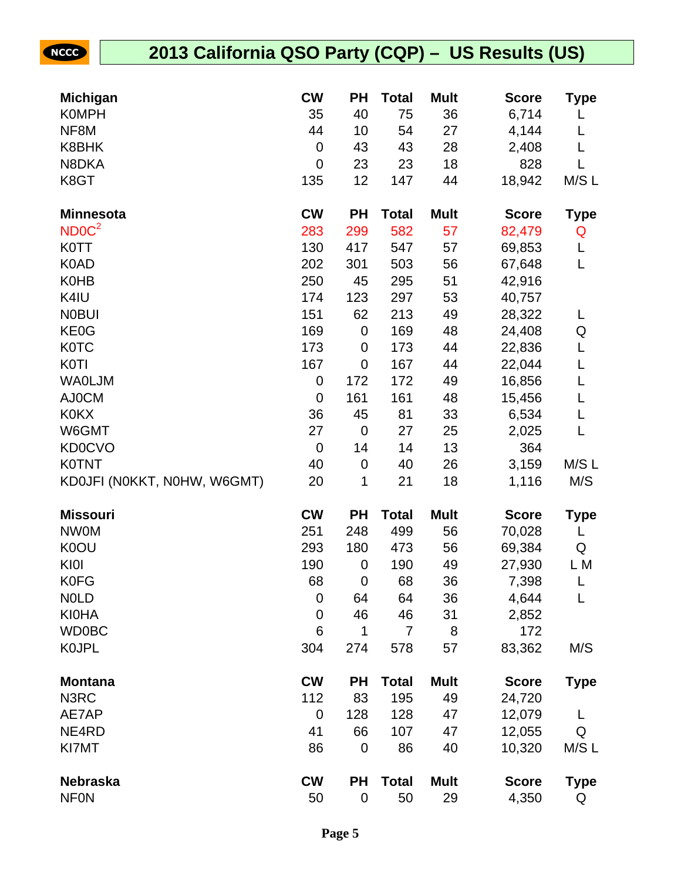| <b>Michigan</b>             | <b>CW</b>   | PH          | <b>Total</b> | <b>Mult</b> | <b>Score</b> | Type        |
|-----------------------------|-------------|-------------|--------------|-------------|--------------|-------------|
| <b>K0MPH</b>                | 35          | 40          | 75           | 36          | 6,714        | L           |
| NF8M                        | 44          | 10          | 54           | 27          | 4,144        | L           |
| K8BHK                       | $\mathbf 0$ | 43          | 43           | 28          | 2,408        | L           |
| N8DKA                       | 0           | 23          | 23           | 18          | 828          | L           |
| K8GT                        | 135         | 12          | 147          | 44          | 18,942       | M/S L       |
| <b>Minnesota</b>            | <b>CW</b>   | <b>PH</b>   | <b>Total</b> | <b>Mult</b> | <b>Score</b> | <b>Type</b> |
| NDOC <sup>2</sup>           | 283         | 299         | 582          | 57          | 82,479       | Q           |
| <b>K0TT</b>                 | 130         | 417         | 547          | 57          | 69,853       | L           |
| K0AD                        | 202         | 301         | 503          | 56          | 67,648       | L           |
| <b>K0HB</b>                 | 250         | 45          | 295          | 51          | 42,916       |             |
| K4IU                        | 174         | 123         | 297          | 53          | 40,757       |             |
| <b>NOBUI</b>                | 151         | 62          | 213          | 49          | 28,322       | L           |
| KE0G                        | 169         | $\mathbf 0$ | 169          | 48          | 24,408       | Q           |
| <b>K0TC</b>                 | 173         | 0           | 173          | 44          | 22,836       | L           |
| <b>K0TI</b>                 | 167         | $\mathbf 0$ | 167          | 44          | 22,044       | L           |
| <b>WAOLJM</b>               | 0           | 172         | 172          | 49          | 16,856       | L           |
| AJ0CM                       | $\mathbf 0$ | 161         | 161          | 48          | 15,456       | L           |
| <b>K0KX</b>                 | 36          | 45          | 81           | 33          | 6,534        | L           |
| W6GMT                       | 27          | $\mathbf 0$ | 27           | 25          | 2,025        | L           |
| <b>KD0CVO</b>               | $\mathbf 0$ | 14          | 14           | 13          | 364          |             |
| <b>K0TNT</b>                | 40          | $\mathbf 0$ | 40           | 26          | 3,159        | M/SL        |
| KD0JFI (N0KKT, N0HW, W6GMT) | 20          | 1           | 21           | 18          | 1,116        | M/S         |
| <b>Missouri</b>             | <b>CW</b>   | <b>PH</b>   | <b>Total</b> | <b>Mult</b> | <b>Score</b> | <b>Type</b> |
| <b>NW0M</b>                 | 251         | 248         | 499          | 56          | 70,028       | L           |
| K0OU                        | 293         | 180         | 473          | 56          | 69,384       | Q           |
| KI0I                        | 190         | $\mathbf 0$ | 190          | 49          | 27,930       | L M         |
| <b>K0FG</b>                 | 68          | $\mathbf 0$ | 68           | 36          | 7,398        | L           |
| <b>NOLD</b>                 | 0           | 64          | 64           | 36          | 4,644        | L           |
| <b>KI0HA</b>                | $\mathbf 0$ | 46          | 46           | 31          | 2,852        |             |
| <b>WD0BC</b>                | 6           | 1           | 7            | 8           | 172          |             |
| <b>KOJPL</b>                | 304         | 274         | 578          | 57          | 83,362       | M/S         |
| <b>Montana</b>              | <b>CW</b>   | <b>PH</b>   | <b>Total</b> | <b>Mult</b> | <b>Score</b> | <b>Type</b> |
| N3RC                        | 112         | 83          | 195          | 49          | 24,720       |             |
| AE7AP                       | $\mathbf 0$ | 128         | 128          | 47          | 12,079       | L           |
| NE4RD                       | 41          | 66          | 107          | 47          | 12,055       | Q           |
| KI7MT                       | 86          | 0           | 86           | 40          | 10,320       | M/SL        |
| <b>Nebraska</b>             | <b>CW</b>   | <b>PH</b>   | <b>Total</b> | <b>Mult</b> | <b>Score</b> | <b>Type</b> |
| <b>NFON</b>                 | 50          | 0           | 50           | 29          | 4,350        | Q           |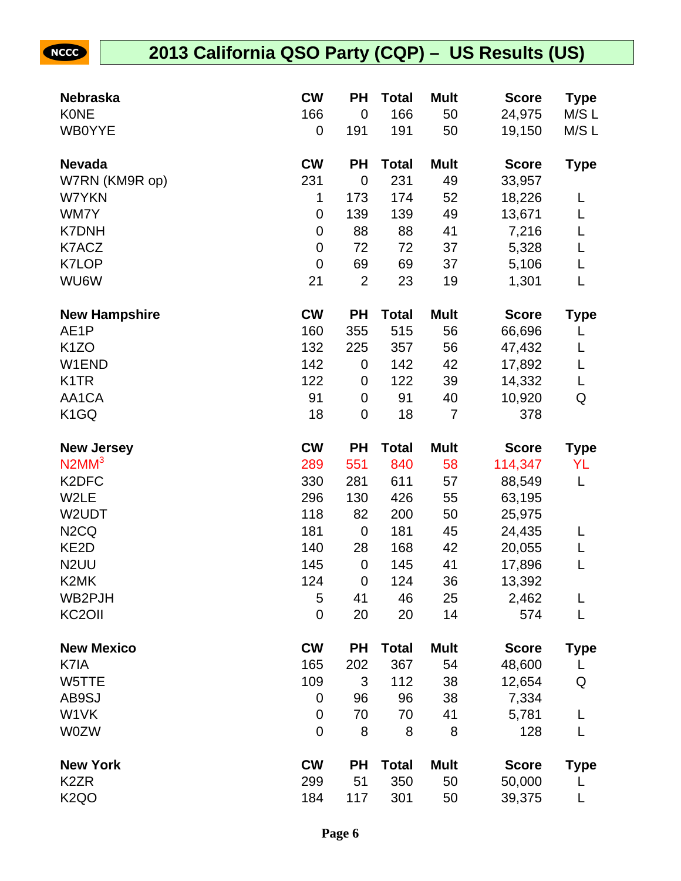| <b>Nebraska</b>               | <b>CW</b>        | ΡH               | <b>Total</b> | <b>Mult</b> | <b>Score</b> | <b>Type</b> |
|-------------------------------|------------------|------------------|--------------|-------------|--------------|-------------|
| <b>KONE</b>                   | 166              | $\mathbf 0$      | 166          | 50          | 24,975       | M/S L       |
| <b>WB0YYE</b>                 | 0                | 191              | 191          | 50          | 19,150       | M/S L       |
| <b>Nevada</b>                 | <b>CW</b>        | <b>PH</b>        | <b>Total</b> | <b>Mult</b> | <b>Score</b> | <b>Type</b> |
| W7RN (KM9R op)                | 231              | $\mathbf 0$      | 231          | 49          | 33,957       |             |
| W7YKN                         | 1                | 173              | 174          | 52          | 18,226       | L           |
| WM7Y                          | $\boldsymbol{0}$ | 139              | 139          | 49          | 13,671       | L           |
| <b>K7DNH</b>                  | 0                | 88               | 88           | 41          | 7,216        | L           |
| K7ACZ                         | $\boldsymbol{0}$ | 72               | 72           | 37          | 5,328        | L           |
| <b>K7LOP</b>                  | $\mathbf 0$      | 69               | 69           | 37          | 5,106        | L           |
| WU6W                          | 21               | $\overline{2}$   | 23           | 19          | 1,301        | L           |
| <b>New Hampshire</b>          | <b>CW</b>        | <b>PH</b>        | <b>Total</b> | <b>Mult</b> | <b>Score</b> | <b>Type</b> |
| AE <sub>1</sub> P             | 160              | 355              | 515          | 56          | 66,696       | L           |
| K <sub>1</sub> ZO             | 132              | 225              | 357          | 56          | 47,432       | L           |
| W1END                         | 142              | $\boldsymbol{0}$ | 142          | 42          | 17,892       | L           |
| K <sub>1</sub> TR             | 122              | 0                | 122          | 39          | 14,332       | L           |
| AA1CA                         | 91               | $\mathbf 0$      | 91           | 40          | 10,920       | Q           |
| K <sub>1</sub> GQ             | 18               | $\mathbf 0$      | 18           | 7           | 378          |             |
| <b>New Jersey</b>             | <b>CW</b>        | <b>PH</b>        | <b>Total</b> | <b>Mult</b> | <b>Score</b> | <b>Type</b> |
| $N2MM^3$                      | 289              | 551              | 840          | 58          | 114,347      | YL          |
| K <sub>2</sub> DFC            | 330              | 281              | 611          | 57          | 88,549       | L           |
| W2LE                          | 296              | 130              | 426          | 55          | 63,195       |             |
| W2UDT                         | 118              | 82               | 200          | 50          | 25,975       |             |
| N <sub>2</sub> C <sub>Q</sub> | 181              | $\mathbf 0$      | 181          | 45          | 24,435       | L           |
| KE <sub>2</sub> D             | 140              | 28               | 168          | 42          | 20,055       |             |
| N <sub>2</sub> UU             | 145              | $\boldsymbol{0}$ | 145          | 41          | 17,896       | L           |
| K <sub>2</sub> MK             | 124              | $\mathbf 0$      | 124          | 36          | 13,392       |             |
| WB2PJH                        | 5                | 41               | 46           | 25          | 2,462        | L           |
| KC <sub>2</sub> OII           | $\mathbf 0$      | 20               | 20           | 14          | 574          |             |
| <b>New Mexico</b>             | <b>CW</b>        | <b>PH</b>        | <b>Total</b> | <b>Mult</b> | <b>Score</b> | <b>Type</b> |
| K7IA                          | 165              | 202              | 367          | 54          | 48,600       |             |
| W5TTE                         | 109              | 3                | 112          | 38          | 12,654       | Q           |
| AB9SJ                         | 0                | 96               | 96           | 38          | 7,334        |             |
| W1VK                          | 0                | 70               | 70           | 41          | 5,781        |             |
| <b>W0ZW</b>                   | 0                | 8                | 8            | 8           | 128          | L           |
| <b>New York</b>               | <b>CW</b>        | <b>PH</b>        | <b>Total</b> | <b>Mult</b> | <b>Score</b> | <b>Type</b> |
| K <sub>2</sub> ZR             | 299              | 51               | 350          | 50          | 50,000       |             |
| K <sub>2</sub> QO             | 184              | 117              | 301          | 50          | 39,375       |             |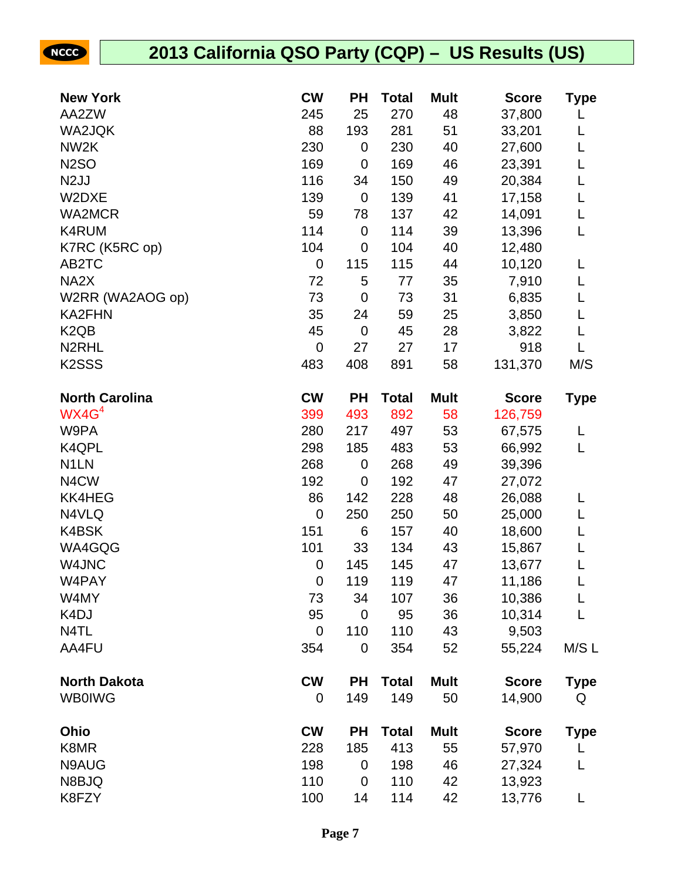| <b>New York</b>               | <b>CW</b>        | PH          | <b>Total</b> | <b>Mult</b> | <b>Score</b> | Type        |
|-------------------------------|------------------|-------------|--------------|-------------|--------------|-------------|
| AA2ZW                         | 245              | 25          | 270          | 48          | 37,800       |             |
| WA2JQK                        | 88               | 193         | 281          | 51          | 33,201       | L           |
| NW <sub>2</sub> K             | 230              | $\mathbf 0$ | 230          | 40          | 27,600       | L           |
| <b>N2SO</b>                   | 169              | $\mathbf 0$ | 169          | 46          | 23,391       | L           |
| N <sub>2</sub> JJ             | 116              | 34          | 150          | 49          | 20,384       | L           |
| W2DXE                         | 139              | $\mathbf 0$ | 139          | 41          | 17,158       | L           |
| <b>WA2MCR</b>                 | 59               | 78          | 137          | 42          | 14,091       | L           |
| K4RUM                         | 114              | $\mathbf 0$ | 114          | 39          | 13,396       | L           |
| K7RC (K5RC op)                | 104              | 0           | 104          | 40          | 12,480       |             |
| AB2TC                         | $\boldsymbol{0}$ | 115         | 115          | 44          | 10,120       | L           |
| NA <sub>2</sub> X             | 72               | 5           | 77           | 35          | 7,910        | L           |
| W2RR (WA2AOG op)              | 73               | $\mathbf 0$ | 73           | 31          | 6,835        | L           |
| <b>KA2FHN</b>                 | 35               | 24          | 59           | 25          | 3,850        | L           |
| K <sub>2</sub> Q <sub>B</sub> | 45               | $\mathbf 0$ | 45           | 28          | 3,822        | L           |
| N <sub>2</sub> RHL            | $\mathbf 0$      | 27          | 27           | 17          | 918          | L           |
| K <sub>2</sub> SSS            | 483              | 408         | 891          | 58          | 131,370      | M/S         |
| <b>North Carolina</b>         | <b>CW</b>        | <b>PH</b>   | <b>Total</b> | <b>Mult</b> | <b>Score</b> | <b>Type</b> |
| WX4G <sup>4</sup>             | 399              | 493         | 892          | 58          | 126,759      |             |
| W9PA                          | 280              | 217         | 497          | 53          | 67,575       | L           |
| K4QPL                         | 298              | 185         | 483          | 53          | 66,992       | L           |
| N <sub>1</sub> LN             | 268              | $\mathbf 0$ | 268          | 49          | 39,396       |             |
| N4CW                          | 192              | $\mathbf 0$ | 192          | 47          | 27,072       |             |
| <b>KK4HEG</b>                 | 86               | 142         | 228          | 48          | 26,088       | L           |
| N4VLQ                         | $\mathbf 0$      | 250         | 250          | 50          | 25,000       | L           |
| K4BSK                         | 151              | 6           | 157          | 40          | 18,600       | L           |
| WA4GQG                        | 101              | 33          | 134          | 43          | 15,867       | L           |
| W4JNC                         | 0                | 145         | 145          | 47          | 13,677       | L           |
| W4PAY                         | $\mathbf 0$      | 119         | 119          | 47          | 11,186       | L           |
| W4MY                          | 73               | 34          | 107          | 36          | 10,386       | L           |
| K <sub>4</sub> DJ             | 95               | $\mathbf 0$ | 95           | 36          | 10,314       | L           |
| N4TL                          | 0                | 110         | 110          | 43          | 9,503        |             |
| AA4FU                         | 354              | $\mathbf 0$ | 354          | 52          | 55,224       | M/S L       |
| <b>North Dakota</b>           | <b>CW</b>        | <b>PH</b>   | <b>Total</b> | <b>Mult</b> | <b>Score</b> | <b>Type</b> |
| <b>WB0IWG</b>                 | 0                | 149         | 149          | 50          | 14,900       | Q           |
| Ohio                          | <b>CW</b>        | <b>PH</b>   | <b>Total</b> | <b>Mult</b> | <b>Score</b> | <b>Type</b> |
| K8MR                          | 228              | 185         | 413          | 55          | 57,970       | L           |
| N9AUG                         | 198              | 0           | 198          | 46          | 27,324       | L           |
| N8BJQ                         | 110              | $\mathbf 0$ | 110          | 42          | 13,923       |             |
| K8FZY                         | 100              | 14          | 114          | 42          | 13,776       | L           |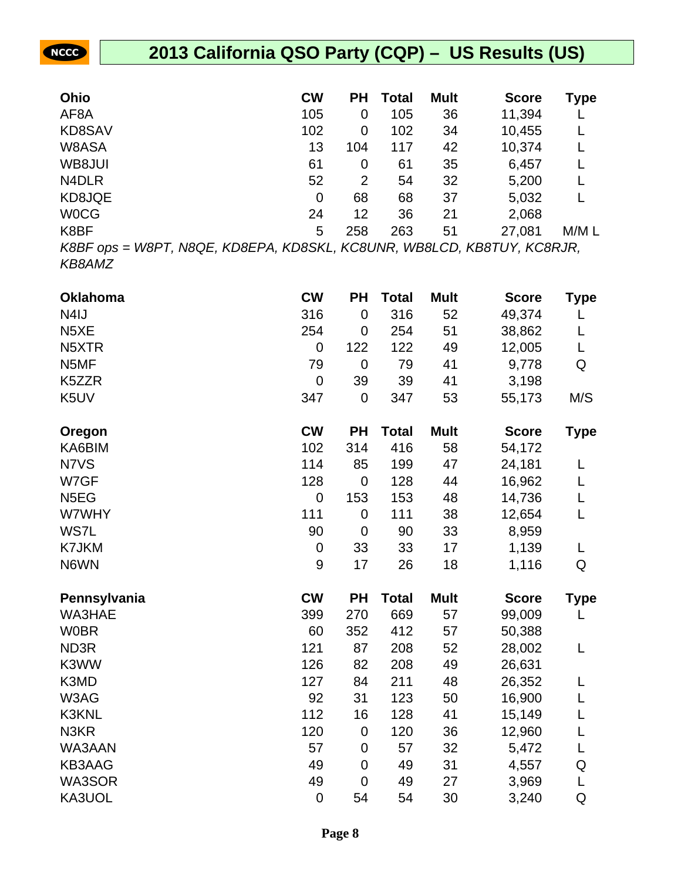| Ohio                                                       | <b>CW</b>      | PН  | Total | <b>Mult</b> | <b>Score</b>                    | Type  |
|------------------------------------------------------------|----------------|-----|-------|-------------|---------------------------------|-------|
| AF <sub>8</sub> A                                          | 105            | 0   | 105   | 36          | 11,394                          |       |
| KD8SAV                                                     | 102            | 0   | 102   | 34          | 10,455                          |       |
| W8ASA                                                      | 13             | 104 | 117   | 42          | 10,374                          |       |
| WB8JUI                                                     | 61             | 0   | 61    | 35          | 6,457                           |       |
| N <sub>4</sub> DLR                                         | 52             | 2   | 54    | 32          | 5,200                           |       |
| KD8JQE                                                     | $\overline{0}$ | 68  | 68    | 37          | 5,032                           |       |
| <b>WOCG</b>                                                | 24             | 12  | 36    | 21          | 2,068                           |       |
| K8BF                                                       | 5              | 258 | 263   | 51          | 27,081                          | M/M L |
| $V$ ODE $\alpha$ pa $M/$ ODE $N$ OOE $V$ DOEDA $V$ DOG $V$ |                |     |       |             | KOOLIND MIDOLOD KDOTLIV KOOD ID |       |

**NCCC** 

K8BF ops = W8PT, N8QE, KD8EPA, KD8SKL, KC8UNR, WB8LCD, KB8TUY, KC8RJR, KB8AMZ

| <b>Oklahoma</b>   | <b>CW</b>        | PH          | <b>Total</b> | <b>Mult</b> | <b>Score</b> | Type        |
|-------------------|------------------|-------------|--------------|-------------|--------------|-------------|
| N <sub>4</sub> IJ | 316              | $\mathbf 0$ | 316          | 52          | 49,374       |             |
| N <sub>5</sub> XE | 254              | $\mathbf 0$ | 254          | 51          | 38,862       | L           |
| N5XTR             | $\boldsymbol{0}$ | 122         | 122          | 49          | 12,005       | L           |
| N5MF              | 79               | $\mathbf 0$ | 79           | 41          | 9,778        | Q           |
| K5ZZR             | $\mathbf 0$      | 39          | 39           | 41          | 3,198        |             |
| K5UV              | 347              | $\mathbf 0$ | 347          | 53          | 55,173       | M/S         |
| Oregon            | <b>CW</b>        | <b>PH</b>   | <b>Total</b> | <b>Mult</b> | <b>Score</b> | <b>Type</b> |
| KA6BIM            | 102              | 314         | 416          | 58          | 54,172       |             |
| N7VS              | 114              | 85          | 199          | 47          | 24,181       | L           |
| W7GF              | 128              | $\mathbf 0$ | 128          | 44          | 16,962       | L           |
| N <sub>5</sub> EG | $\mathbf 0$      | 153         | 153          | 48          | 14,736       | L           |
| W7WHY             | 111              | $\mathbf 0$ | 111          | 38          | 12,654       | L           |
| WS7L              | 90               | $\mathbf 0$ | 90           | 33          | 8,959        |             |
| K7JKM             | $\boldsymbol{0}$ | 33          | 33           | 17          | 1,139        | L           |
| N6WN              | $\boldsymbol{9}$ | 17          | 26           | 18          | 1,116        | Q           |
| Pennsylvania      | <b>CW</b>        | <b>PH</b>   | <b>Total</b> | <b>Mult</b> | <b>Score</b> | <b>Type</b> |
| WA3HAE            | 399              | 270         | 669          | 57          | 99,009       | L           |
| <b>W0BR</b>       | 60               | 352         | 412          | 57          | 50,388       |             |
| ND3R              | 121              | 87          | 208          | 52          | 28,002       | L           |
| K3WW              | 126              | 82          | 208          | 49          | 26,631       |             |
| K3MD              | 127              | 84          | 211          | 48          | 26,352       | L           |
| W3AG              | 92               | 31          | 123          | 50          | 16,900       | L           |
| K3KNL             | 112              | 16          | 128          | 41          | 15,149       | L           |
| N3KR              | 120              | $\mathbf 0$ | 120          | 36          | 12,960       | L           |
| WA3AAN            | 57               | $\mathbf 0$ | 57           | 32          | 5,472        | L           |
| <b>KB3AAG</b>     | 49               | $\mathbf 0$ | 49           | 31          | 4,557        | Q           |
| WA3SOR            | 49               | 0           | 49           | 27          | 3,969        | L           |
| KA3UOL            | $\mathbf 0$      | 54          | 54           | 30          | 3,240        | Q           |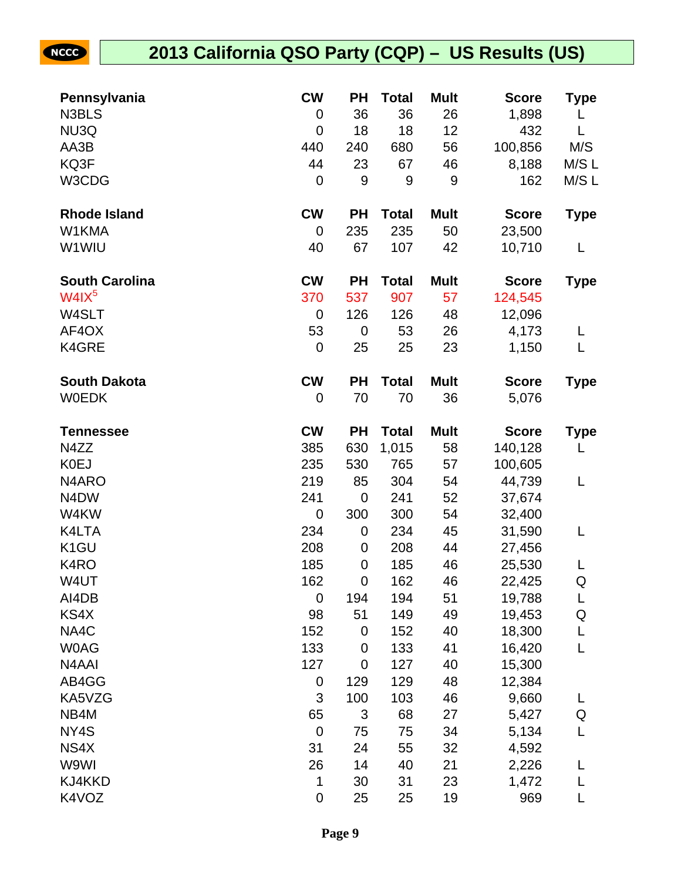| Pennsylvania          | <b>CW</b>   | <b>PH</b>   | <b>Total</b> | <b>Mult</b> | <b>Score</b> | Type        |
|-----------------------|-------------|-------------|--------------|-------------|--------------|-------------|
| N3BLS                 | 0           | 36          | 36           | 26          | 1,898        | L           |
| NU3Q                  | 0           | 18          | 18           | 12          | 432          | L           |
| AA3B                  | 440         | 240         | 680          | 56          | 100,856      | M/S         |
| KQ3F                  | 44          | 23          | 67           | 46          | 8,188        | M/S L       |
| W3CDG                 | $\mathbf 0$ | 9           | 9            | 9           | 162          | M/S L       |
| <b>Rhode Island</b>   | <b>CW</b>   | <b>PH</b>   | <b>Total</b> | <b>Mult</b> | <b>Score</b> | <b>Type</b> |
| W1KMA                 | 0           | 235         | 235          | 50          | 23,500       |             |
| W1WIU                 | 40          | 67          | 107          | 42          | 10,710       | L           |
| <b>South Carolina</b> | <b>CW</b>   | <b>PH</b>   | <b>Total</b> | <b>Mult</b> | <b>Score</b> | <b>Type</b> |
| W4IX <sup>5</sup>     | 370         | 537         | 907          | 57          | 124,545      |             |
| W4SLT                 | $\mathbf 0$ | 126         | 126          | 48          | 12,096       |             |
| AF4OX                 | 53          | $\mathbf 0$ | 53           | 26          | 4,173        | L           |
| K4GRE                 | $\mathbf 0$ | 25          | 25           | 23          | 1,150        | L           |
| <b>South Dakota</b>   | <b>CW</b>   | <b>PH</b>   | <b>Total</b> | <b>Mult</b> | <b>Score</b> | <b>Type</b> |
| <b>WOEDK</b>          | 0           | 70          | 70           | 36          | 5,076        |             |
| Tennessee             | <b>CW</b>   | <b>PH</b>   | <b>Total</b> | <b>Mult</b> | <b>Score</b> | <b>Type</b> |
| N4ZZ                  | 385         | 630         | 1,015        | 58          | 140,128      | L           |
| <b>K0EJ</b>           | 235         | 530         | 765          | 57          | 100,605      |             |
| N4ARO                 | 219         | 85          | 304          | 54          | 44,739       | L           |
| N4DW                  | 241         | $\mathbf 0$ | 241          | 52          | 37,674       |             |
| W4KW                  | $\mathbf 0$ | 300         | 300          | 54          | 32,400       |             |
| K4LTA                 | 234         | $\mathbf 0$ | 234          | 45          | 31,590       | L           |
| K <sub>1</sub> GU     | 208         | 0           | 208          | 44          | 27,456       |             |
| K4RO                  | 185         | 0           | 185          | 46          | 25,530       | L           |
| W4UT                  | 162         | $\mathbf 0$ | 162          | 46          | 22,425       | Q           |
| AI4DB                 | 0           | 194         | 194          | 51          | 19,788       | L           |
| KS4X                  | 98          | 51          | 149          | 49          | 19,453       | Q           |
| NA4C                  | 152         | $\mathbf 0$ | 152          | 40          | 18,300       | L           |
| <b>WOAG</b>           | 133         | $\mathbf 0$ | 133          | 41          | 16,420       | L           |
| N4AAI                 | 127         | 0           | 127          | 40          | 15,300       |             |
| AB4GG                 | $\pmb{0}$   | 129         | 129          | 48          | 12,384       |             |
| KA5VZG                | 3           | 100         | 103          | 46          | 9,660        | L           |
| NB4M                  | 65          | 3           | 68           | 27          | 5,427        | Q           |
| NY4S                  | $\mathbf 0$ | 75          | 75           | 34          | 5,134        | L           |
| NS4X                  | 31          | 24          | 55           | 32          | 4,592        |             |
| W9WI                  | 26          | 14          | 40           | 21          | 2,226        | L           |
| KJ4KKD                | 1           | 30          | 31           | 23          | 1,472        | L           |
| K4VOZ                 | $\pmb{0}$   | 25          | 25           | 19          | 969          |             |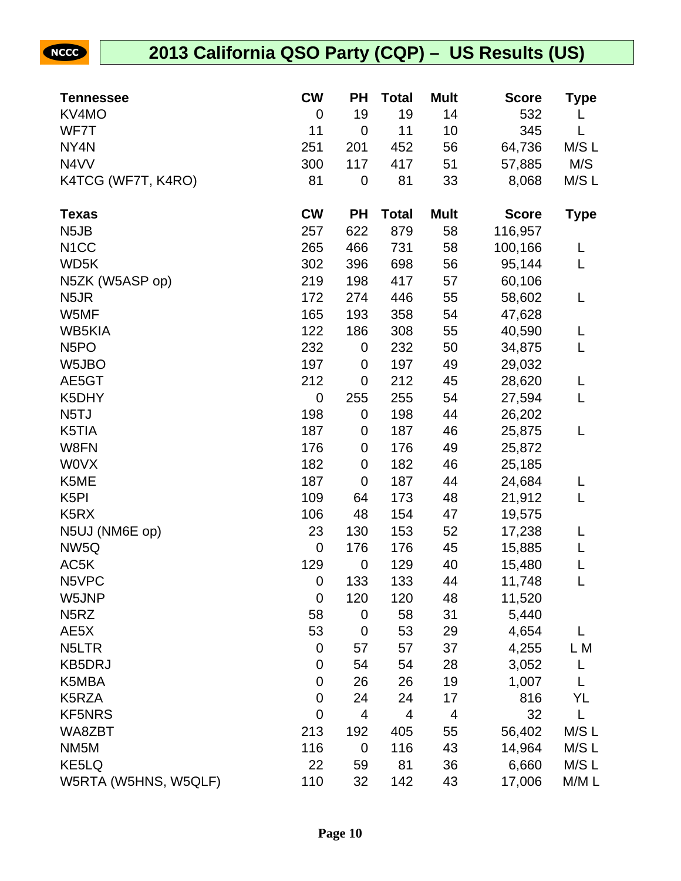| <b>Tennessee</b>              | <b>CW</b>        | <b>PH</b>   | <b>Total</b>            | <b>Mult</b> | <b>Score</b> | Type        |
|-------------------------------|------------------|-------------|-------------------------|-------------|--------------|-------------|
| KV4MO                         | $\mathbf 0$      | 19          | 19                      | 14          | 532          |             |
| WF7T                          | 11               | 0           | 11                      | 10          | 345          | L           |
| NY4N                          | 251              | 201         | 452                     | 56          | 64,736       | M/S L       |
| N4VV                          | 300              | 117         | 417                     | 51          | 57,885       | M/S         |
| K4TCG (WF7T, K4RO)            | 81               | 0           | 81                      | 33          | 8,068        | M/S L       |
| <b>Texas</b>                  | <b>CW</b>        | <b>PH</b>   | <b>Total</b>            | <b>Mult</b> | <b>Score</b> | <b>Type</b> |
| N <sub>5</sub> JB             | 257              | 622         | 879                     | 58          | 116,957      |             |
| N <sub>1</sub> CC             | 265              | 466         | 731                     | 58          | 100,166      | L           |
| WD5K                          | 302              | 396         | 698                     | 56          | 95,144       | L           |
| N5ZK (W5ASP op)               | 219              | 198         | 417                     | 57          | 60,106       |             |
| N <sub>5</sub> JR             | 172              | 274         | 446                     | 55          | 58,602       | L           |
| W5MF                          | 165              | 193         | 358                     | 54          | 47,628       |             |
| <b>WB5KIA</b>                 | 122              | 186         | 308                     | 55          | 40,590       | L           |
| N <sub>5</sub> PO             | 232              | 0           | 232                     | 50          | 34,875       | L           |
| W5JBO                         | 197              | 0           | 197                     | 49          | 29,032       |             |
| AE5GT                         | 212              | $\pmb{0}$   | 212                     | 45          | 28,620       | L           |
| K5DHY                         | $\mathbf 0$      | 255         | 255                     | 54          | 27,594       | L           |
| N <sub>5</sub> TJ             | 198              | $\pmb{0}$   | 198                     | 44          | 26,202       |             |
| K5TIA                         | 187              | 0           | 187                     | 46          | 25,875       | L           |
| W8FN                          | 176              | 0           | 176                     | 49          | 25,872       |             |
| <b>WOVX</b>                   | 182              | 0           | 182                     | 46          | 25,185       |             |
| K5ME                          | 187              | $\mathbf 0$ | 187                     | 44          | 24,684       | L           |
| K <sub>5</sub> PI             | 109              | 64          | 173                     | 48          | 21,912       | L           |
| K <sub>5</sub> R <sub>X</sub> | 106              | 48          | 154                     | 47          | 19,575       |             |
| N5UJ (NM6E op)                | 23               | 130         | 153                     | 52          | 17,238       | L           |
| NW <sub>5Q</sub>              | $\mathbf 0$      | 176         | 176                     | 45          | 15,885       | L           |
| AC5K                          | 129              | 0           | 129                     | 40          | 15,480       | L           |
| N5VPC                         | $\mathbf 0$      | 133         | 133                     | 44          | 11,748       | L           |
| W5JNP                         | $\boldsymbol{0}$ | 120         | 120                     | 48          | 11,520       |             |
| N <sub>5</sub> RZ             | 58               | $\pmb{0}$   | 58                      | 31          | 5,440        |             |
| AE5X                          | 53               | 0           | 53                      | 29          | 4,654        | L           |
| N <sub>5</sub> LTR            | $\boldsymbol{0}$ | 57          | 57                      | 37          | 4,255        | L M         |
| <b>KB5DRJ</b>                 | 0                | 54          | 54                      | 28          | 3,052        | L           |
| K5MBA                         | $\boldsymbol{0}$ | 26          | 26                      | 19          | 1,007        | L           |
| K5RZA                         | $\boldsymbol{0}$ | 24          | 24                      | 17          | 816          | YL          |
| <b>KF5NRS</b>                 | $\mathbf 0$      | 4           | $\overline{\mathbf{4}}$ | 4           | 32           | L           |
| WA8ZBT                        | 213              | 192         | 405                     | 55          | 56,402       | M/S L       |
| NM <sub>5</sub> M             | 116              | $\pmb{0}$   | 116                     | 43          | 14,964       | M/S L       |
| KE5LQ                         | 22               | 59          | 81                      | 36          | 6,660        | M/S L       |
| W5RTA (W5HNS, W5QLF)          | 110              | 32          | 142                     | 43          | 17,006       | M/M L       |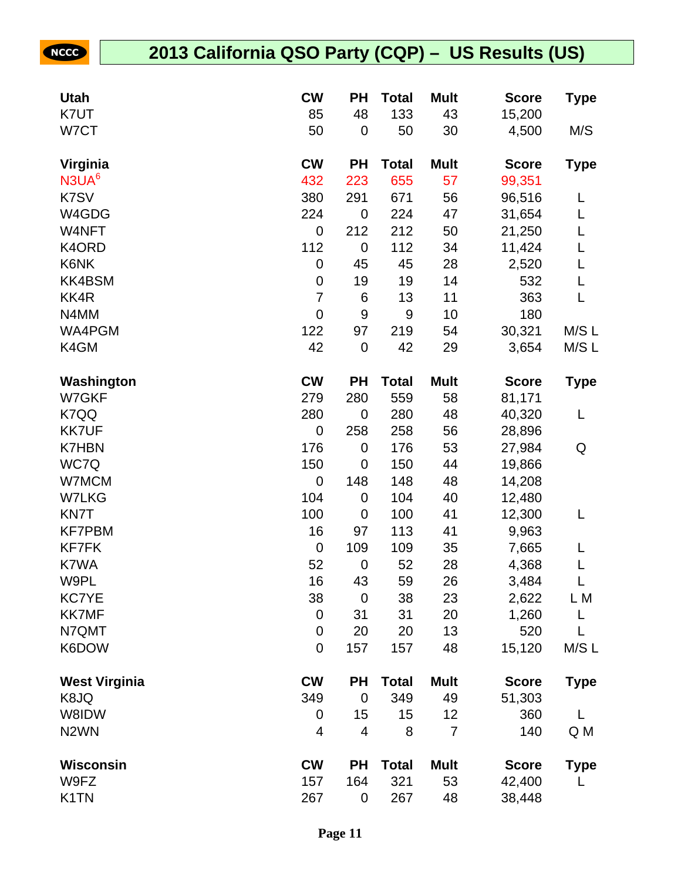| <b>Utah</b>          | <b>CW</b>        | <b>PH</b>        | <b>Total</b> | <b>Mult</b> | <b>Score</b> | Type        |
|----------------------|------------------|------------------|--------------|-------------|--------------|-------------|
| K7UT                 | 85               | 48               | 133          | 43          | 15,200       |             |
| W7CT                 | 50               | $\mathbf 0$      | 50           | 30          | 4,500        | M/S         |
| Virginia             | <b>CW</b>        | <b>PH</b>        | <b>Total</b> | <b>Mult</b> | <b>Score</b> | Type        |
| N3UA <sup>6</sup>    | 432              | 223              | 655          | 57          | 99,351       |             |
| K7SV                 | 380              | 291              | 671          | 56          | 96,516       | L           |
| W4GDG                | 224              | $\mathbf 0$      | 224          | 47          | 31,654       | L           |
| W4NFT                | 0                | 212              | 212          | 50          | 21,250       | L           |
| K4ORD                | 112              | $\mathbf 0$      | 112          | 34          | 11,424       | L           |
| K6NK                 | $\boldsymbol{0}$ | 45               | 45           | 28          | 2,520        | L           |
| <b>KK4BSM</b>        | $\boldsymbol{0}$ | 19               | 19           | 14          | 532          | L           |
| KK4R                 | $\overline{7}$   | 6                | 13           | 11          | 363          | L           |
| N4MM                 | $\mathbf 0$      | $\boldsymbol{9}$ | 9            | 10          | 180          |             |
| WA4PGM               | 122              | 97               | 219          | 54          | 30,321       | M/SL        |
| K4GM                 | 42               | $\mathbf 0$      | 42           | 29          | 3,654        | M/S L       |
| Washington           | <b>CW</b>        | <b>PH</b>        | <b>Total</b> | <b>Mult</b> | <b>Score</b> | <b>Type</b> |
| W7GKF                | 279              | 280              | 559          | 58          | 81,171       |             |
| K7QQ                 | 280              | $\mathbf 0$      | 280          | 48          | 40,320       | L           |
| <b>KK7UF</b>         | 0                | 258              | 258          | 56          | 28,896       |             |
| <b>K7HBN</b>         | 176              | 0                | 176          | 53          | 27,984       | Q           |
| WC7Q                 | 150              | 0                | 150          | 44          | 19,866       |             |
| W7MCM                | $\mathbf 0$      | 148              | 148          | 48          | 14,208       |             |
| <b>W7LKG</b>         | 104              | 0                | 104          | 40          | 12,480       |             |
| <b>KN7T</b>          | 100              | $\mathbf 0$      | 100          | 41          | 12,300       | L           |
| <b>KF7PBM</b>        | 16               | 97               | 113          | 41          | 9,963        |             |
| <b>KF7FK</b>         | $\boldsymbol{0}$ | 109              | 109          | 35          | 7,665        |             |
| K7WA                 | 52               | $\mathbf 0$      | 52           | 28          | 4,368        | L           |
| W9PL                 | 16               | 43               | 59           | 26          | 3,484        | L           |
| <b>KC7YE</b>         | 38               | $\mathbf 0$      | 38           | 23          | 2,622        | L M         |
| <b>KK7MF</b>         | $\mathbf 0$      | 31               | 31           | 20          | 1,260        | L           |
| N7QMT                | $\boldsymbol{0}$ | 20               | 20           | 13          | 520          | L           |
| K6DOW                | $\mathbf 0$      | 157              | 157          | 48          | 15,120       | M/SL        |
| <b>West Virginia</b> | <b>CW</b>        | <b>PH</b>        | <b>Total</b> | <b>Mult</b> | <b>Score</b> | Type        |
| K8JQ                 | 349              | $\mathbf 0$      | 349          | 49          | 51,303       |             |
| W8IDW                | 0                | 15               | 15           | 12          | 360          | L           |
| N <sub>2</sub> WN    | 4                | 4                | 8            | 7           | 140          | Q M         |
| <b>Wisconsin</b>     | <b>CW</b>        | <b>PH</b>        | <b>Total</b> | <b>Mult</b> | <b>Score</b> | Type        |
| W9FZ                 | 157              | 164              | 321          | 53          | 42,400       | L           |
| K <sub>1</sub> TN    | 267              | 0                | 267          | 48          | 38,448       |             |